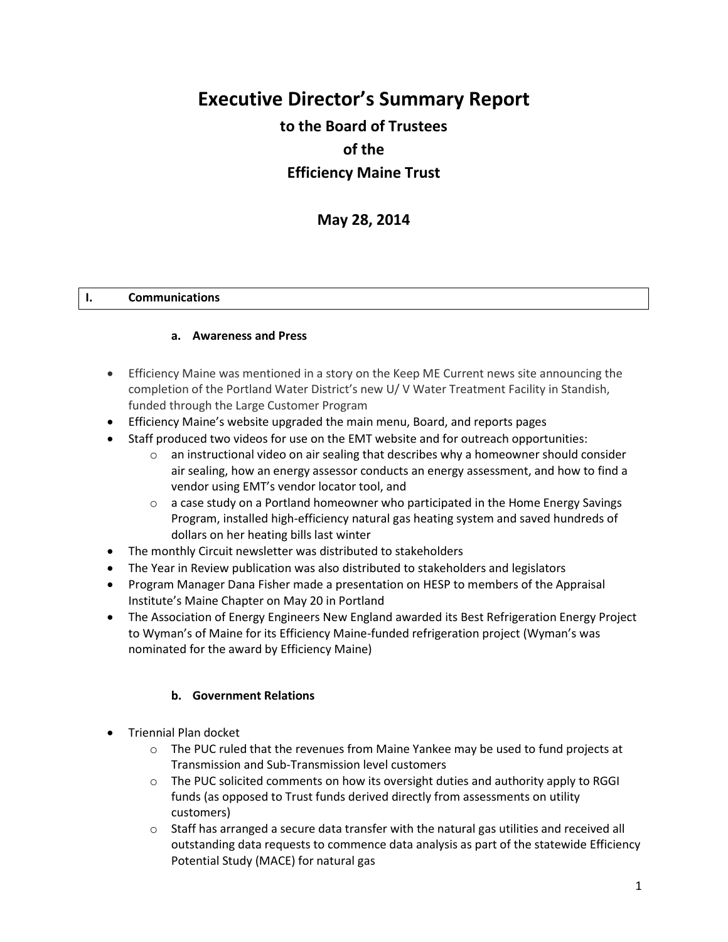# **Executive Director's Summary Report**

## **to the Board of Trustees of the Efficiency Maine Trust**

### **May 28, 2014**

#### **I. Communications**

#### **a. Awareness and Press**

- Efficiency Maine was mentioned in a story on the Keep ME Current news site announcing the completion of the Portland Water District's new U/ V Water Treatment Facility in Standish, funded through the Large Customer Program
- Efficiency Maine's website upgraded the main menu, Board, and reports pages
- Staff produced two videos for use on the EMT website and for outreach opportunities:
	- $\circ$  an instructional video on air sealing that describes why a homeowner should consider air sealing, how an energy assessor conducts an energy assessment, and how to find a vendor using EMT's vendor locator tool, and
	- $\circ$  a case study on a Portland homeowner who participated in the Home Energy Savings Program, installed high-efficiency natural gas heating system and saved hundreds of dollars on her heating bills last winter
- The monthly Circuit newsletter was distributed to stakeholders
- The Year in Review publication was also distributed to stakeholders and legislators
- Program Manager Dana Fisher made a presentation on HESP to members of the Appraisal Institute's Maine Chapter on May 20 in Portland
- The Association of Energy Engineers New England awarded its Best Refrigeration Energy Project to Wyman's of Maine for its Efficiency Maine-funded refrigeration project (Wyman's was nominated for the award by Efficiency Maine)

#### **b. Government Relations**

- Triennial Plan docket
	- $\circ$  The PUC ruled that the revenues from Maine Yankee may be used to fund projects at Transmission and Sub-Transmission level customers
	- $\circ$  The PUC solicited comments on how its oversight duties and authority apply to RGGI funds (as opposed to Trust funds derived directly from assessments on utility customers)
	- o Staff has arranged a secure data transfer with the natural gas utilities and received all outstanding data requests to commence data analysis as part of the statewide Efficiency Potential Study (MACE) for natural gas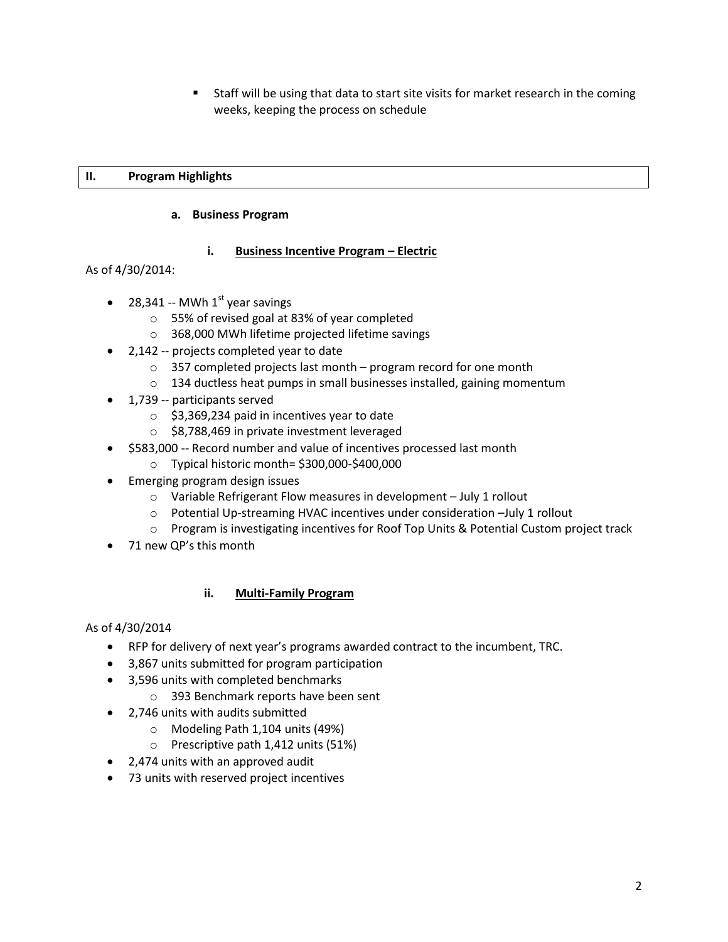Staff will be using that data to start site visits for market research in the coming weeks, keeping the process on schedule

#### **II. Program Highlights**

#### **a. Business Program**

#### **i. Business Incentive Program – Electric**

As of 4/30/2014:

- 28,341 -- MWh  $1<sup>st</sup>$  year savings
	- o 55% of revised goal at 83% of year completed
	- o 368,000 MWh lifetime projected lifetime savings
- 2,142 -- projects completed year to date
	- o 357 completed projects last month program record for one month
	- $\circ$  134 ductless heat pumps in small businesses installed, gaining momentum
- 1,739 -- participants served
	- $\circ$  \$3,369,234 paid in incentives year to date
	- o \$8,788,469 in private investment leveraged
- \$583,000 -- Record number and value of incentives processed last month
	- o Typical historic month= \$300,000-\$400,000
- Emerging program design issues
	- o Variable Refrigerant Flow measures in development July 1 rollout
	- o Potential Up-streaming HVAC incentives under consideration –July 1 rollout
	- o Program is investigating incentives for Roof Top Units & Potential Custom project track
- 71 new QP's this month

#### **ii. Multi-Family Program**

#### As of 4/30/2014

- RFP for delivery of next year's programs awarded contract to the incumbent, TRC.
- 3,867 units submitted for program participation
- 3,596 units with completed benchmarks
	- o 393 Benchmark reports have been sent
- 2,746 units with audits submitted
	- o Modeling Path 1,104 units (49%)
	- o Prescriptive path 1,412 units (51%)
- 2,474 units with an approved audit
- 73 units with reserved project incentives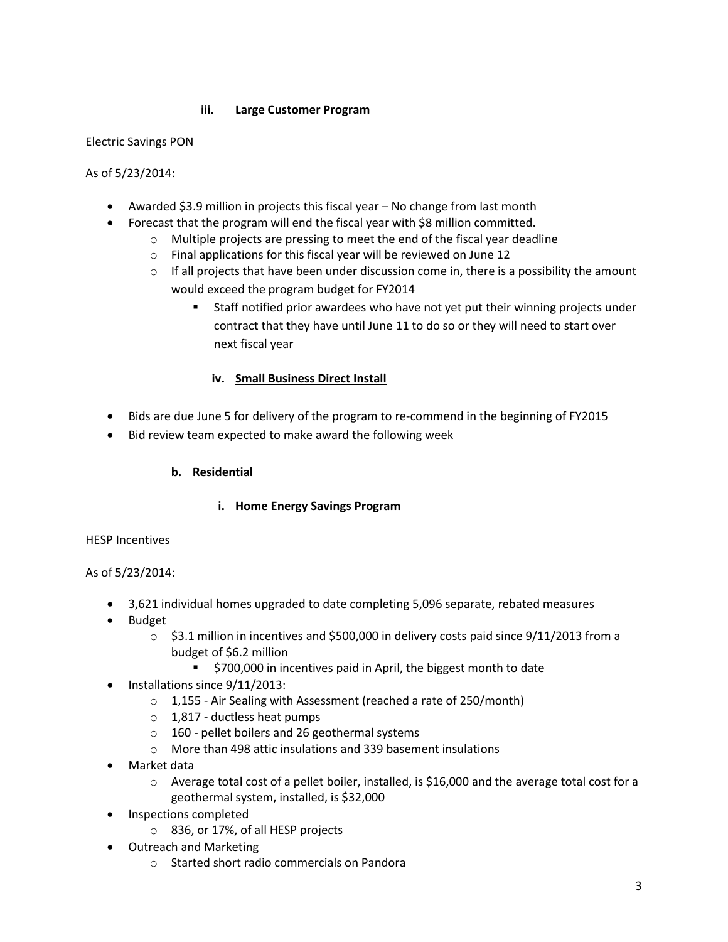#### **iii. Large Customer Program**

#### Electric Savings PON

#### As of 5/23/2014:

- Awarded \$3.9 million in projects this fiscal year No change from last month
- Forecast that the program will end the fiscal year with \$8 million committed.
	- o Multiple projects are pressing to meet the end of the fiscal year deadline
	- o Final applications for this fiscal year will be reviewed on June 12
	- $\circ$  If all projects that have been under discussion come in, there is a possibility the amount would exceed the program budget for FY2014
		- Staff notified prior awardees who have not yet put their winning projects under contract that they have until June 11 to do so or they will need to start over next fiscal year

#### **iv. Small Business Direct Install**

- Bids are due June 5 for delivery of the program to re-commend in the beginning of FY2015
- Bid review team expected to make award the following week

#### **b. Residential**

#### **i. Home Energy Savings Program**

#### HESP Incentives

#### As of 5/23/2014:

- 3,621 individual homes upgraded to date completing 5,096 separate, rebated measures
- Budget
	- $\circ$  \$3.1 million in incentives and \$500,000 in delivery costs paid since 9/11/2013 from a budget of \$6.2 million
		- **5700,000** in incentives paid in April, the biggest month to date
- Installations since 9/11/2013:
	- o 1,155 Air Sealing with Assessment (reached a rate of 250/month)
	- $\circ$  1,817 ductless heat pumps
	- o 160 pellet boilers and 26 geothermal systems
	- $\circ$  More than 498 attic insulations and 339 basement insulations
- Market data
	- $\circ$  Average total cost of a pellet boiler, installed, is \$16,000 and the average total cost for a geothermal system, installed, is \$32,000
- Inspections completed
	- o 836, or 17%, of all HESP projects
- Outreach and Marketing
	- o Started short radio commercials on Pandora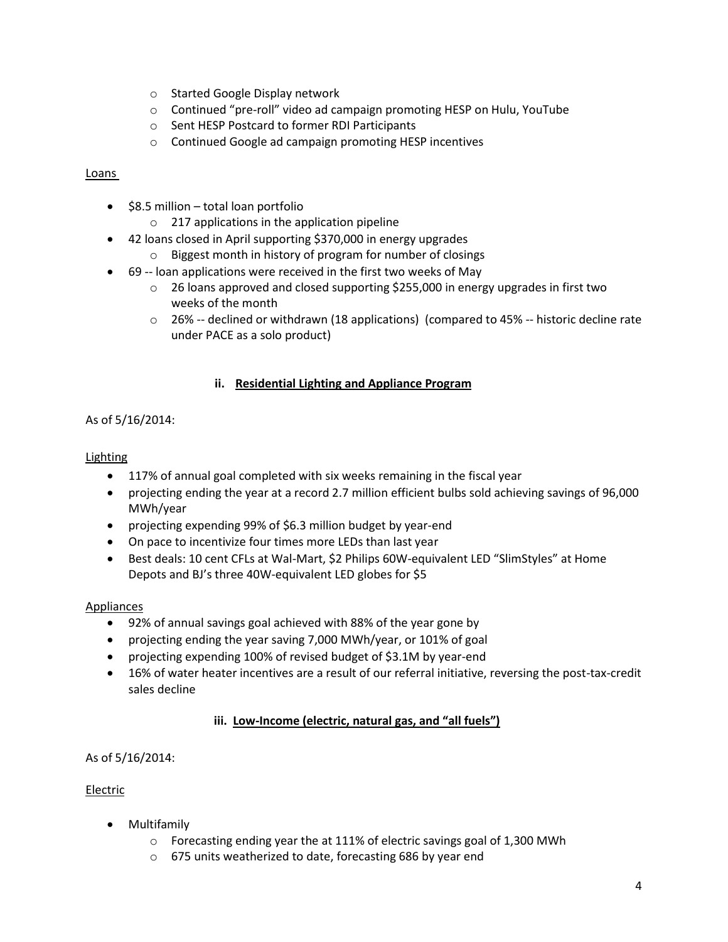- o Started Google Display network
- o Continued "pre-roll" video ad campaign promoting HESP on Hulu, YouTube
- o Sent HESP Postcard to former RDI Participants
- o Continued Google ad campaign promoting HESP incentives

#### Loans

- $\bullet$  \$8.5 million total loan portfolio
	- o 217 applications in the application pipeline
- 42 loans closed in April supporting \$370,000 in energy upgrades
	- o Biggest month in history of program for number of closings
	- 69 -- loan applications were received in the first two weeks of May
		- $\circ$  26 loans approved and closed supporting \$255,000 in energy upgrades in first two weeks of the month
		- o 26% -- declined or withdrawn (18 applications) (compared to 45% -- historic decline rate under PACE as a solo product)

#### **ii. Residential Lighting and Appliance Program**

#### As of 5/16/2014:

#### **Lighting**

- 117% of annual goal completed with six weeks remaining in the fiscal year
- projecting ending the year at a record 2.7 million efficient bulbs sold achieving savings of 96,000 MWh/year
- projecting expending 99% of \$6.3 million budget by year-end
- On pace to incentivize four times more LEDs than last year
- Best deals: 10 cent CFLs at Wal-Mart, \$2 Philips 60W-equivalent LED "SlimStyles" at Home Depots and BJ's three 40W-equivalent LED globes for \$5

#### **Appliances**

- 92% of annual savings goal achieved with 88% of the year gone by
- projecting ending the year saving 7,000 MWh/year, or 101% of goal
- projecting expending 100% of revised budget of \$3.1M by year-end
- 16% of water heater incentives are a result of our referral initiative, reversing the post-tax-credit sales decline

#### **iii. Low-Income (electric, natural gas, and "all fuels")**

#### As of 5/16/2014:

#### Electric

- Multifamily
	- $\circ$  Forecasting ending year the at 111% of electric savings goal of 1,300 MWh
	- o 675 units weatherized to date, forecasting 686 by year end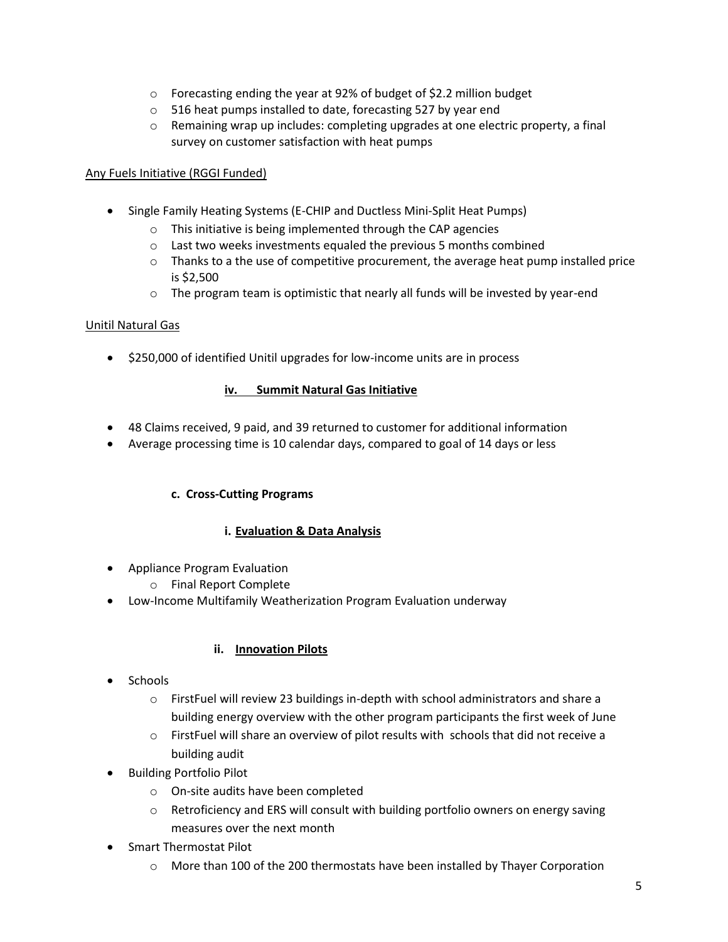- $\circ$  Forecasting ending the year at 92% of budget of \$2.2 million budget
- o 516 heat pumps installed to date, forecasting 527 by year end
- $\circ$  Remaining wrap up includes: completing upgrades at one electric property, a final survey on customer satisfaction with heat pumps

#### Any Fuels Initiative (RGGI Funded)

- Single Family Heating Systems (E-CHIP and Ductless Mini-Split Heat Pumps)
	- o This initiative is being implemented through the CAP agencies
	- o Last two weeks investments equaled the previous 5 months combined
	- $\circ$  Thanks to a the use of competitive procurement, the average heat pump installed price is \$2,500
	- $\circ$  The program team is optimistic that nearly all funds will be invested by year-end

#### Unitil Natural Gas

● \$250,000 of identified Unitil upgrades for low-income units are in process

#### **iv. Summit Natural Gas Initiative**

- 48 Claims received, 9 paid, and 39 returned to customer for additional information
- Average processing time is 10 calendar days, compared to goal of 14 days or less

#### **c. Cross-Cutting Programs**

#### **i. Evaluation & Data Analysis**

- Appliance Program Evaluation
	- o Final Report Complete
- Low-Income Multifamily Weatherization Program Evaluation underway

#### **ii. Innovation Pilots**

- Schools
	- o FirstFuel will review 23 buildings in-depth with school administrators and share a building energy overview with the other program participants the first week of June
	- $\circ$  FirstFuel will share an overview of pilot results with schools that did not receive a building audit
- Building Portfolio Pilot
	- o On-site audits have been completed
	- $\circ$  Retroficiency and ERS will consult with building portfolio owners on energy saving measures over the next month
- Smart Thermostat Pilot
	- $\circ$  More than 100 of the 200 thermostats have been installed by Thayer Corporation